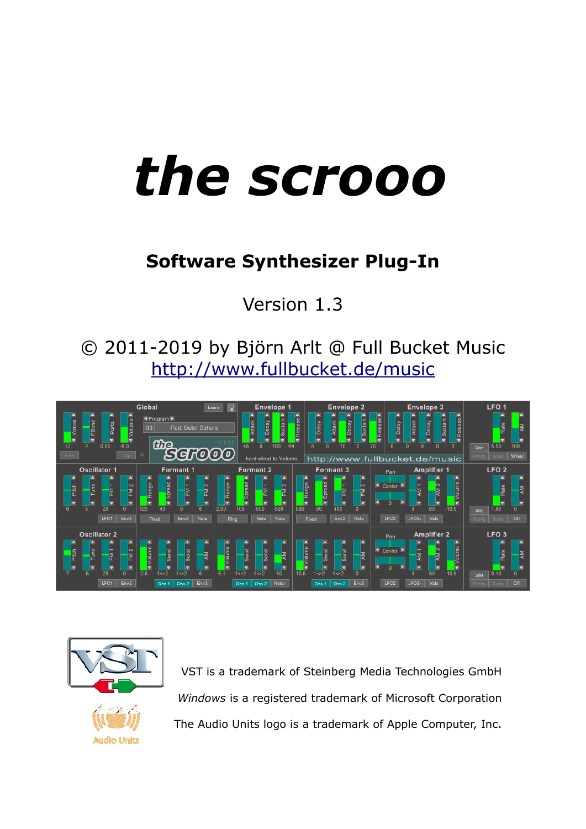# *the scrooo*

# **Software Synthesizer Plug-In**

Version 1.3

© 2011-2019 by Björn Arlt @ Full Bucket Music <http://www.fullbucket.de/music>





VST is a trademark of Steinberg Media Technologies GmbH *Windows* is a registered trademark of Microsoft Corporation The Audio Units logo is a trademark of Apple Computer, Inc.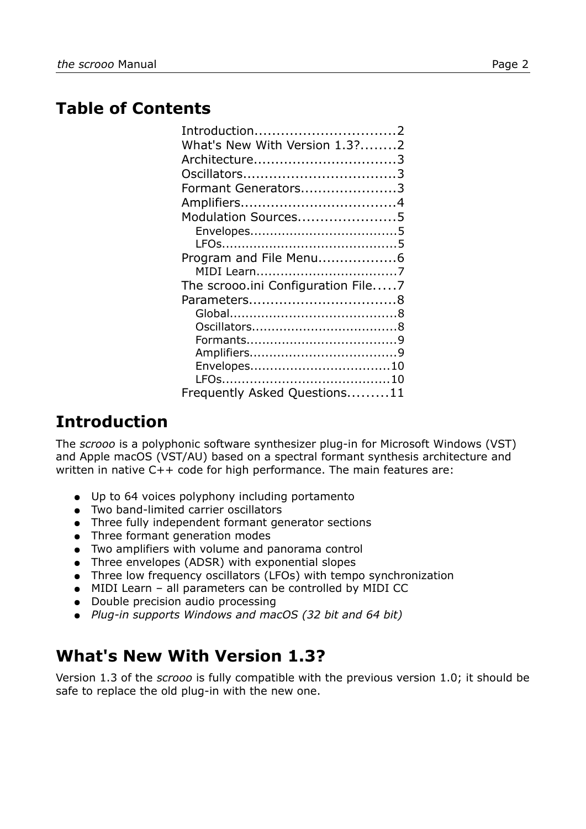## **Table of Contents**

| Introduction2                      |  |
|------------------------------------|--|
| What's New With Version 1.3?2      |  |
| Architecture3                      |  |
|                                    |  |
| Formant Generators3                |  |
|                                    |  |
| Modulation Sources5                |  |
|                                    |  |
|                                    |  |
| Program and File Menu6             |  |
|                                    |  |
| The scrooo.ini Configuration File7 |  |
|                                    |  |
|                                    |  |
|                                    |  |
|                                    |  |
|                                    |  |
|                                    |  |
|                                    |  |
| Frequently Asked Questions11       |  |

# **Introduction**

The *scrooo* is a polyphonic software synthesizer plug-in for Microsoft Windows (VST) and Apple macOS (VST/AU) based on a spectral formant synthesis architecture and written in native C++ code for high performance. The main features are:

- Up to 64 voices polyphony including portamento
- Two band-limited carrier oscillators
- Three fully independent formant generator sections
- Three formant generation modes
- Two amplifiers with volume and panorama control
- Three envelopes (ADSR) with exponential slopes
- Three low frequency oscillators (LFOs) with tempo synchronization
- MIDI Learn ‒ all parameters can be controlled by MIDI CC
- Double precision audio processing
- *Plug-in supports Windows and macOS (32 bit and 64 bit)*

## **What's New With Version 1.3?**

Version 1.3 of the *scrooo* is fully compatible with the previous version 1.0; it should be safe to replace the old plug-in with the new one.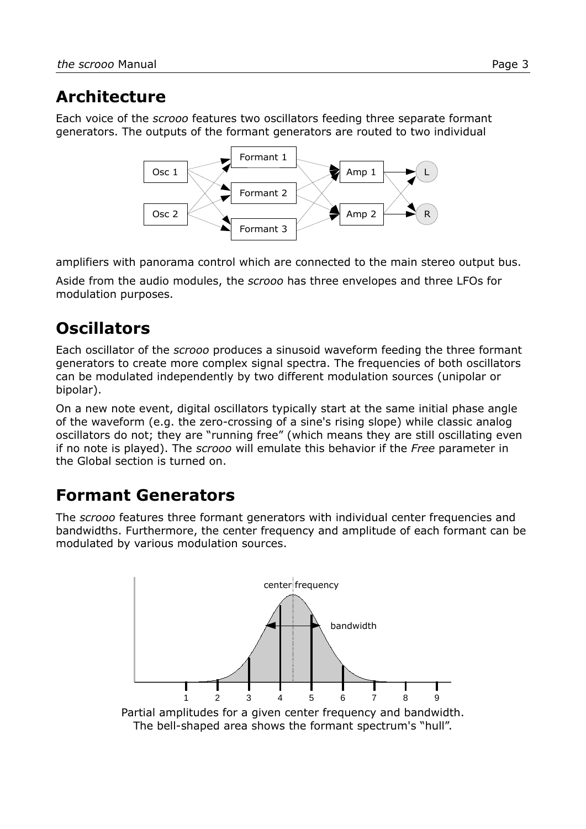## **Architecture**

Each voice of the *scrooo* features two oscillators feeding three separate formant generators. The outputs of the formant generators are routed to two individual



amplifiers with panorama control which are connected to the main stereo output bus.

Aside from the audio modules, the *scrooo* has three envelopes and three LFOs for modulation purposes.

# **Oscillators**

Each oscillator of the *scrooo* produces a sinusoid waveform feeding the three formant generators to create more complex signal spectra. The frequencies of both oscillators can be modulated independently by two different modulation sources (unipolar or bipolar).

On a new note event, digital oscillators typically start at the same initial phase angle of the waveform (e.g. the zero-crossing of a sine's rising slope) while classic analog oscillators do not; they are "running free" (which means they are still oscillating even if no note is played). The *scrooo* will emulate this behavior if the *Free* parameter in the Global section is turned on.

# **Formant Generators**

The *scrooo* features three formant generators with individual center frequencies and bandwidths. Furthermore, the center frequency and amplitude of each formant can be modulated by various modulation sources.

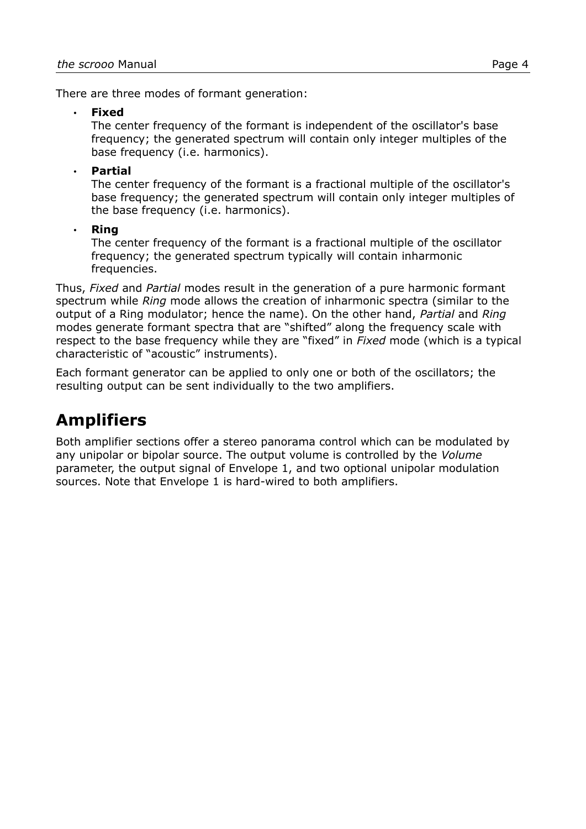There are three modes of formant generation:

• **Fixed**

The center frequency of the formant is independent of the oscillator's base frequency; the generated spectrum will contain only integer multiples of the base frequency (i.e. harmonics).

#### • **Partial**

The center frequency of the formant is a fractional multiple of the oscillator's base frequency; the generated spectrum will contain only integer multiples of the base frequency (i.e. harmonics).

#### • **Ring**

The center frequency of the formant is a fractional multiple of the oscillator frequency; the generated spectrum typically will contain inharmonic frequencies.

Thus, *Fixed* and *Partial* modes result in the generation of a pure harmonic formant spectrum while *Ring* mode allows the creation of inharmonic spectra (similar to the output of a Ring modulator; hence the name). On the other hand, *Partial* and *Ring* modes generate formant spectra that are "shifted" along the frequency scale with respect to the base frequency while they are "fixed" in *Fixed* mode (which is a typical characteristic of "acoustic" instruments).

Each formant generator can be applied to only one or both of the oscillators; the resulting output can be sent individually to the two amplifiers.

# **Amplifiers**

Both amplifier sections offer a stereo panorama control which can be modulated by any unipolar or bipolar source. The output volume is controlled by the *Volume* parameter, the output signal of Envelope 1, and two optional unipolar modulation sources. Note that Envelope 1 is hard-wired to both amplifiers.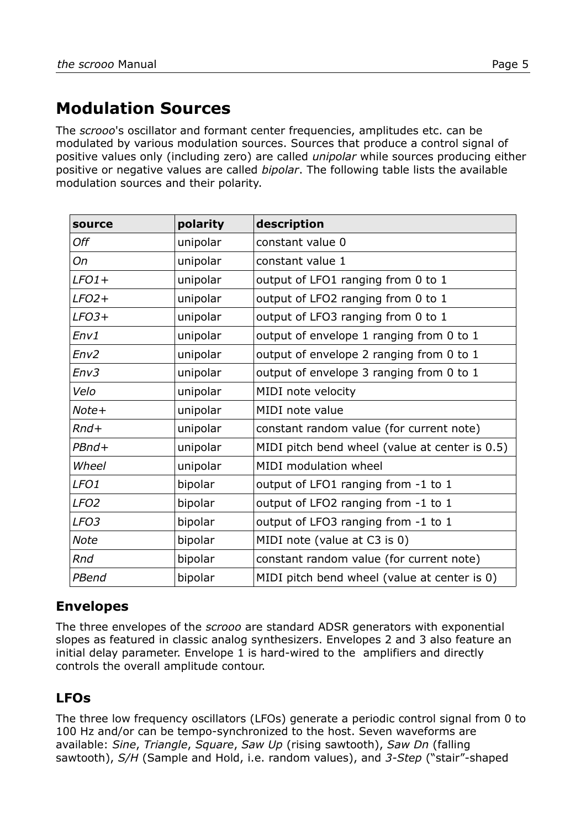# **Modulation Sources**

The *scrooo*'s oscillator and formant center frequencies, amplitudes etc. can be modulated by various modulation sources. Sources that produce a control signal of positive values only (including zero) are called *unipolar* while sources producing either positive or negative values are called *bipolar*. The following table lists the available modulation sources and their polarity.

| source           | polarity | description                                    |
|------------------|----------|------------------------------------------------|
| Off              | unipolar | constant value 0                               |
| On               | unipolar | constant value 1                               |
| $LFO1+$          | unipolar | output of LFO1 ranging from 0 to 1             |
| $LFO2+$          | unipolar | output of LFO2 ranging from 0 to 1             |
| $LFO3+$          | unipolar | output of LFO3 ranging from 0 to 1             |
| Env1             | unipolar | output of envelope 1 ranging from 0 to 1       |
| Env2             | unipolar | output of envelope 2 ranging from 0 to 1       |
| Env3             | unipolar | output of envelope 3 ranging from 0 to 1       |
| Velo             | unipolar | MIDI note velocity                             |
| Note+            | unipolar | MIDI note value                                |
| $Rnd+$           | unipolar | constant random value (for current note)       |
| $PBnd+$          | unipolar | MIDI pitch bend wheel (value at center is 0.5) |
| Wheel            | unipolar | MIDI modulation wheel                          |
| LFO <sub>1</sub> | bipolar  | output of LFO1 ranging from -1 to 1            |
| LFO <sub>2</sub> | bipolar  | output of LFO2 ranging from -1 to 1            |
| LFO <sub>3</sub> | bipolar  | output of LFO3 ranging from -1 to 1            |
| <b>Note</b>      | bipolar  | MIDI note (value at C3 is 0)                   |
| Rnd              | bipolar  | constant random value (for current note)       |
| PBend            | bipolar  | MIDI pitch bend wheel (value at center is 0)   |

## **Envelopes**

The three envelopes of the *scrooo* are standard ADSR generators with exponential slopes as featured in classic analog synthesizers. Envelopes 2 and 3 also feature an initial delay parameter. Envelope 1 is hard-wired to the amplifiers and directly controls the overall amplitude contour.

## **LFOs**

The three low frequency oscillators (LFOs) generate a periodic control signal from 0 to 100 Hz and/or can be tempo-synchronized to the host. Seven waveforms are available: *Sine*, *Triangle*, *Square*, *Saw Up* (rising sawtooth), *Saw Dn* (falling sawtooth), *S/H* (Sample and Hold, i.e. random values), and *3-Step* ("stair"-shaped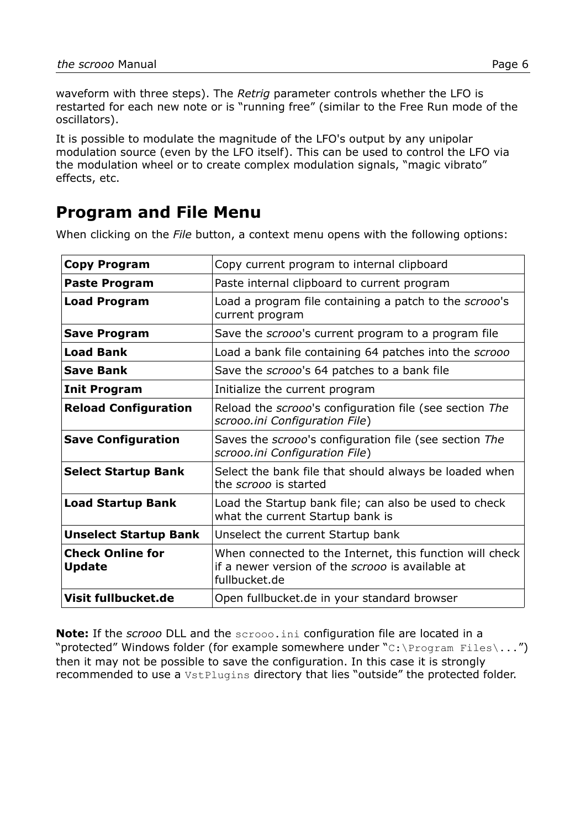waveform with three steps). The *Retrig* parameter controls whether the LFO is restarted for each new note or is "running free" (similar to the Free Run mode of the oscillators).

It is possible to modulate the magnitude of the LFO's output by any unipolar modulation source (even by the LFO itself). This can be used to control the LFO via the modulation wheel or to create complex modulation signals, "magic vibrato" effects, etc.

## <span id="page-5-0"></span>**Program and File Menu**

When clicking on the *File* button, a context menu opens with the following options:

| <b>Copy Program</b>                      | Copy current program to internal clipboard                                                                                    |
|------------------------------------------|-------------------------------------------------------------------------------------------------------------------------------|
| <b>Paste Program</b>                     | Paste internal clipboard to current program                                                                                   |
| <b>Load Program</b>                      | Load a program file containing a patch to the scrooo's<br>current program                                                     |
| <b>Save Program</b>                      | Save the scrooo's current program to a program file                                                                           |
| <b>Load Bank</b>                         | Load a bank file containing 64 patches into the scrooo                                                                        |
| <b>Save Bank</b>                         | Save the scrooo's 64 patches to a bank file                                                                                   |
| <b>Init Program</b>                      | Initialize the current program                                                                                                |
| <b>Reload Configuration</b>              | Reload the scrooo's configuration file (see section The<br>scrooo.ini Configuration File)                                     |
| <b>Save Configuration</b>                | Saves the scrooo's configuration file (see section The<br>scrooo.ini Configuration File)                                      |
| <b>Select Startup Bank</b>               | Select the bank file that should always be loaded when<br>the scrooo is started                                               |
| <b>Load Startup Bank</b>                 | Load the Startup bank file; can also be used to check<br>what the current Startup bank is                                     |
| <b>Unselect Startup Bank</b>             | Unselect the current Startup bank                                                                                             |
| <b>Check Online for</b><br><b>Update</b> | When connected to the Internet, this function will check<br>if a newer version of the scrooo is available at<br>fullbucket.de |
| Visit fullbucket.de                      | Open fullbucket.de in your standard browser                                                                                   |

**Note:** If the *scrooo* DLL and the scrooo.ini configuration file are located in a "protected" Windows folder (for example somewhere under " $C:\Per\gamma$  Files $\ldots$ ") then it may not be possible to save the configuration. In this case it is strongly recommended to use a VstPlugins directory that lies "outside" the protected folder.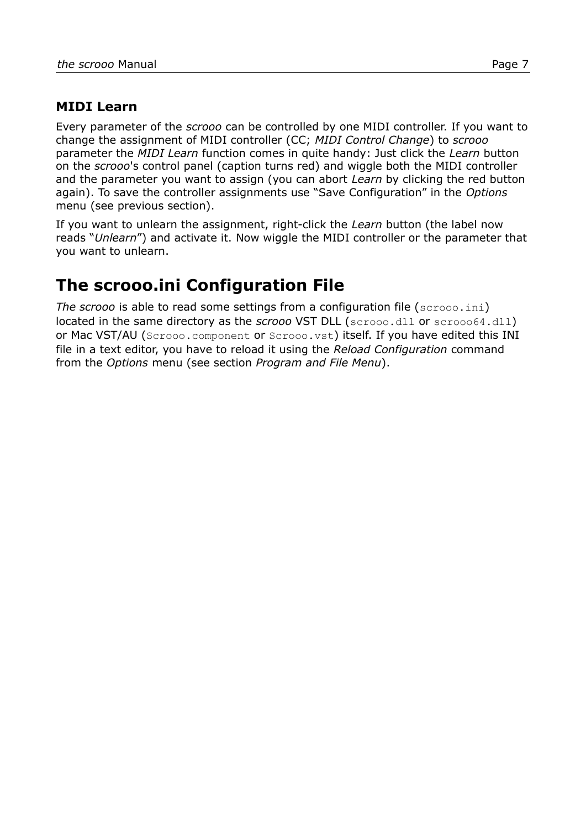#### **MIDI Learn**

Every parameter of the *scrooo* can be controlled by one MIDI controller. If you want to change the assignment of MIDI controller (CC; *MIDI Control Change*) to *scrooo* parameter the *MIDI Learn* function comes in quite handy: Just click the *Learn* button on the *scrooo*'s control panel (caption turns red) and wiggle both the MIDI controller and the parameter you want to assign (you can abort *Learn* by clicking the red button again). To save the controller assignments use "Save Configuration" in the *Options* menu (see previous section).

If you want to unlearn the assignment, right-click the *Learn* button (the label now reads "*Unlearn*") and activate it. Now wiggle the MIDI controller or the parameter that you want to unlearn.

## <span id="page-6-0"></span>**The scrooo.ini Configuration File**

*The scrooo* is able to read some settings from a configuration file (scrooo.ini) located in the same directory as the *scrooo* VST DLL (scrooo.dll or scrooo64.dll) or Mac VST/AU (Scrooo.component or Scrooo.vst) itself. If you have edited this INI file in a text editor, you have to reload it using the *Reload Configuration* command from the *Options* menu (see section *[Program and File Menu](#page-5-0)*).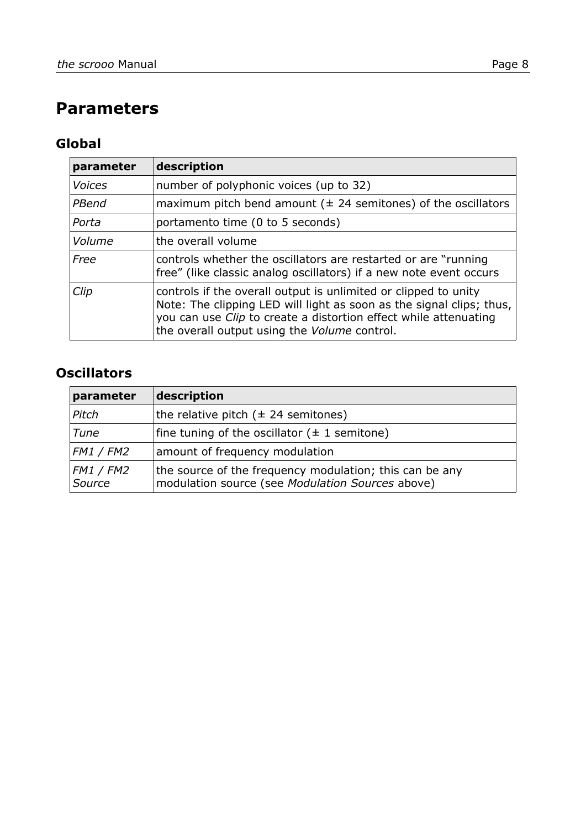# **Parameters**

## **Global**

| parameter     | description                                                                                                                                                                                                                                                        |
|---------------|--------------------------------------------------------------------------------------------------------------------------------------------------------------------------------------------------------------------------------------------------------------------|
| <b>Voices</b> | number of polyphonic voices (up to 32)                                                                                                                                                                                                                             |
| PBend         | maximum pitch bend amount ( $\pm$ 24 semitones) of the oscillators                                                                                                                                                                                                 |
| Porta         | portamento time (0 to 5 seconds)                                                                                                                                                                                                                                   |
| Volume        | the overall volume                                                                                                                                                                                                                                                 |
| Free          | controls whether the oscillators are restarted or are "running<br>free" (like classic analog oscillators) if a new note event occurs                                                                                                                               |
| Clip          | controls if the overall output is unlimited or clipped to unity<br>Note: The clipping LED will light as soon as the signal clips; thus,<br>you can use <i>Clip</i> to create a distortion effect while attenuating<br>the overall output using the Volume control. |

## **Oscillators**

| parameter           | description                                                                                                 |
|---------------------|-------------------------------------------------------------------------------------------------------------|
| Pitch               | the relative pitch $(\pm 24$ semitones)                                                                     |
| Tune                | fine tuning of the oscillator $( \pm 1 )$ semitone)                                                         |
| <b>FM1 / FM2</b>    | amount of frequency modulation                                                                              |
| FM1 / FM2<br>Source | the source of the frequency modulation; this can be any<br>modulation source (see Modulation Sources above) |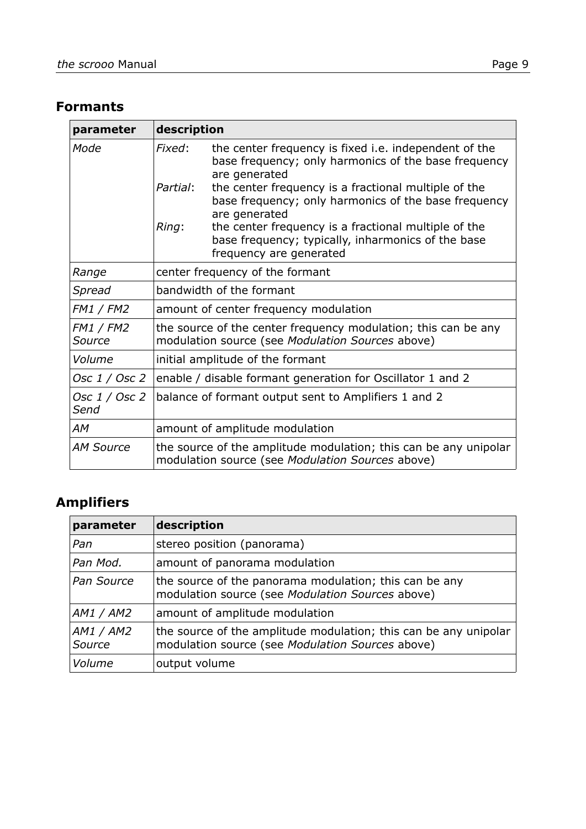#### **Formants**

| parameter                  | description                                                                                                                                    |
|----------------------------|------------------------------------------------------------------------------------------------------------------------------------------------|
| Mode                       | the center frequency is fixed i.e. independent of the<br>Fixed:<br>base frequency; only harmonics of the base frequency<br>are generated       |
|                            | Partial:<br>the center frequency is a fractional multiple of the<br>base frequency; only harmonics of the base frequency<br>are generated      |
|                            | Ring:<br>the center frequency is a fractional multiple of the<br>base frequency; typically, inharmonics of the base<br>frequency are generated |
| Range                      | center frequency of the formant                                                                                                                |
| Spread                     | bandwidth of the formant                                                                                                                       |
| <b>FM1 / FM2</b>           | amount of center frequency modulation                                                                                                          |
| <b>FM1 / FM2</b><br>Source | the source of the center frequency modulation; this can be any<br>modulation source (see Modulation Sources above)                             |
| Volume                     | initial amplitude of the formant                                                                                                               |
| Osc 1 / Osc 2              | enable / disable formant generation for Oscillator 1 and 2                                                                                     |
| Osc 1 / Osc 2<br>Send      | balance of formant output sent to Amplifiers 1 and 2                                                                                           |
| АM                         | amount of amplitude modulation                                                                                                                 |
| <b>AM Source</b>           | the source of the amplitude modulation; this can be any unipolar<br>modulation source (see Modulation Sources above)                           |

## **Amplifiers**

| parameter           | description                                                                                                          |
|---------------------|----------------------------------------------------------------------------------------------------------------------|
| Pan                 | stereo position (panorama)                                                                                           |
| Pan Mod.            | amount of panorama modulation                                                                                        |
| Pan Source          | the source of the panorama modulation; this can be any<br>modulation source (see Modulation Sources above)           |
| AM1 / AM2           | amount of amplitude modulation                                                                                       |
| AM1 / AM2<br>Source | the source of the amplitude modulation; this can be any unipolar<br>modulation source (see Modulation Sources above) |
| Volume              | output volume                                                                                                        |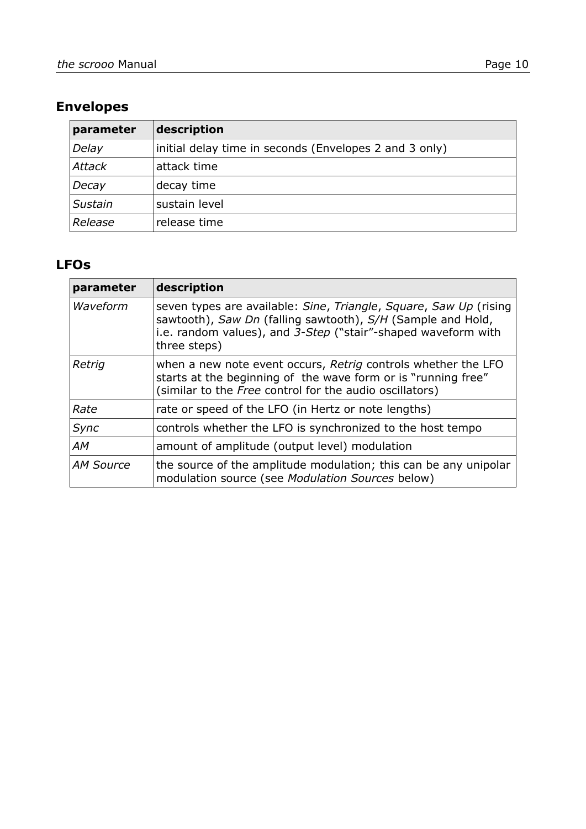## **Envelopes**

| parameter     | description                                            |
|---------------|--------------------------------------------------------|
| Delay         | initial delay time in seconds (Envelopes 2 and 3 only) |
| <b>Attack</b> | attack time                                            |
| Decay         | decay time                                             |
| Sustain       | sustain level                                          |
| Release       | release time                                           |

#### **LFOs**

| parameter        | description                                                                                                                                                                                                       |
|------------------|-------------------------------------------------------------------------------------------------------------------------------------------------------------------------------------------------------------------|
| Waveform         | seven types are available: Sine, Triangle, Square, Saw Up (rising<br>sawtooth), Saw Dn (falling sawtooth), S/H (Sample and Hold,<br>i.e. random values), and 3-Step ("stair"-shaped waveform with<br>three steps) |
| Retrig           | when a new note event occurs, Retrig controls whether the LFO<br>starts at the beginning of the wave form or is "running free"<br>(similar to the Free control for the audio oscillators)                         |
| Rate             | rate or speed of the LFO (in Hertz or note lengths)                                                                                                                                                               |
| Sync             | controls whether the LFO is synchronized to the host tempo                                                                                                                                                        |
| АM               | amount of amplitude (output level) modulation                                                                                                                                                                     |
| <b>AM Source</b> | the source of the amplitude modulation; this can be any unipolar<br>modulation source (see Modulation Sources below)                                                                                              |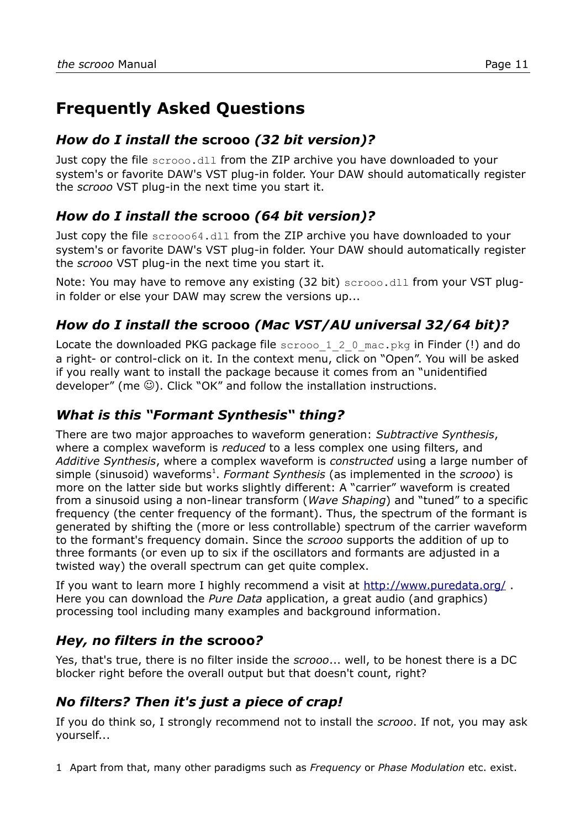# **Frequently Asked Questions**

#### *How do I install the* **scrooo** *(32 bit version)?*

Just copy the file scrooo.dll from the ZIP archive you have downloaded to your system's or favorite DAW's VST plug-in folder. Your DAW should automatically register the *scrooo* VST plug-in the next time you start it.

## *How do I install the* **scrooo** *(64 bit version)?*

Just copy the file scrooo64.dll from the ZIP archive you have downloaded to your system's or favorite DAW's VST plug-in folder. Your DAW should automatically register the *scrooo* VST plug-in the next time you start it.

Note: You may have to remove any existing (32 bit) scrooo.dll from your VST plugin folder or else your DAW may screw the versions up...

## *How do I install the* **scrooo** *(Mac VST/AU universal 32/64 bit)?*

Locate the downloaded PKG package file  $s$ crooo 1 2 0 mac.pkg in Finder (!) and do a right- or control-click on it. In the context menu, click on "Open". You will be asked if you really want to install the package because it comes from an "unidentified developer" (me  $\odot$ ). Click "OK" and follow the installation instructions.

#### *What is this "Formant Synthesis" thing?*

There are two major approaches to waveform generation: *Subtractive Synthesis*, where a complex waveform is *reduced* to a less complex one using filters, and *Additive Synthesis*, where a complex waveform is *constructed* using a large number of simple (sinusoid) waveforms<sup>[1](#page-10-0)</sup>. *Formant Synthesis* (as implemented in the *scrooo*) is more on the latter side but works slightly different: A "carrier" waveform is created from a sinusoid using a non-linear transform (*Wave Shaping*) and "tuned" to a specific frequency (the center frequency of the formant). Thus, the spectrum of the formant is generated by shifting the (more or less controllable) spectrum of the carrier waveform to the formant's frequency domain. Since the *scrooo* supports the addition of up to three formants (or even up to six if the oscillators and formants are adjusted in a twisted way) the overall spectrum can get quite complex.

If you want to learn more I highly recommend a visit at<http://www.puredata.org/> . Here you can download the *Pure Data* application, a great audio (and graphics) processing tool including many examples and background information.

## *Hey, no filters in the* **scrooo***?*

Yes, that's true, there is no filter inside the *scrooo*... well, to be honest there is a DC blocker right before the overall output but that doesn't count, right?

## *No filters? Then it's just a piece of crap!*

If you do think so, I strongly recommend not to install the *scrooo*. If not, you may ask yourself...

<span id="page-10-0"></span>1 Apart from that, many other paradigms such as *Frequency* or *Phase Modulation* etc. exist.